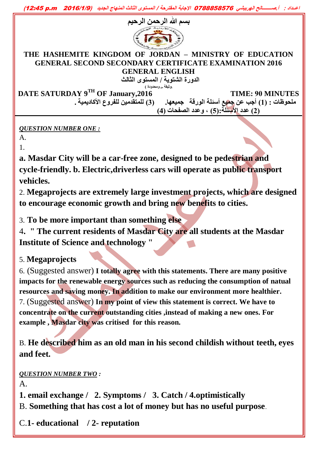**اعــداد : أ.صــــــــالح الهربيشي** <sup>6788888870</sup> **اإلجابة المقترحة / المستوى الثالث المنهاج الجديد )**6610**/**1**/**<sup>9</sup>m.p 16:28**)**



#### **THE HASHEMITE KINGDOM OF JORDAN – MINISTRY OF EDUCATION GENERAL SECOND SECONDARY CERTIFICATE EXAMINATION 2016 GENERAL ENGLISH**

**الدورة الشتوية / المستوى الثالث (وثيقة جج ومحدودة (**

**DATE SATURDAY 9<sup>TH</sup> OF January, 2016 TIME: 90 MINUTES ملحوظات : )1( أجب عن جميع أسئلة الورقة جميعها. )3( للمتقدمين للفروع األكاديمية . )2( عدد األسئلة:)5( , وعدد الصفحات )4(** 

### *QUESTION NUMBER ONE :*

A. 1.

**a. Masdar City will be a car-free zone, designed to be pedestrian and cycle-friendly. b. Electric,driverless cars will operate as public transport vehicles.**

2. **Megaprojects are extremely large investment projects, which are designed to encourage economic growth and bring new benefits to cities.**

3. **To be more important than something else**

4**. " The current residents of Masdar City are all students at the Masdar Institute of Science and technology "**

## 5. **Megaprojects**

6. (Suggested answer) **I totally agree with this statements. There are many positive impacts for the renewable energy sources such as reducing the consumption of natual resources and saving money. In addition to make our environment more healthier.** 7. (Suggested answer) **In my point of view this statement is correct. We have to concentrate on the current outstanding cities ,instead of making a new ones. For example , Masdar city was critised for this reason.**

B. **He described him as an old man in his second childish without teeth, eyes and feet.**

*QUESTION NUMBER TWO :* 

A.

**1. email exchange / 2. Symptoms / 3. Catch / 4.optimistically**

B. **Something that has cost a lot of money but has no useful purpose**.

C.**1- educational / 2- reputation**